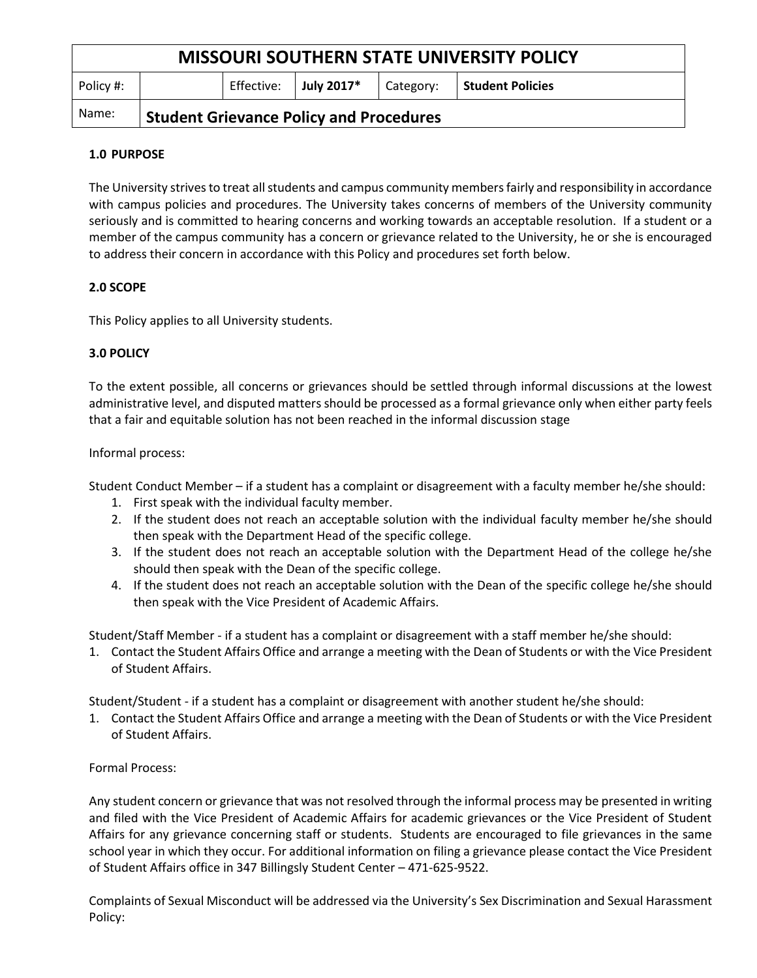| <b>MISSOURI SOUTHERN STATE UNIVERSITY POLICY</b> |                                                |            |            |           |                         |
|--------------------------------------------------|------------------------------------------------|------------|------------|-----------|-------------------------|
| Policy #:                                        |                                                | Effective: | July 2017* | Category: | <b>Student Policies</b> |
| Name:                                            | <b>Student Grievance Policy and Procedures</b> |            |            |           |                         |

# **1.0 PURPOSE**

The University strives to treat all students and campus community members fairly and responsibility in accordance with campus policies and procedures. The University takes concerns of members of the University community seriously and is committed to hearing concerns and working towards an acceptable resolution. If a student or a member of the campus community has a concern or grievance related to the University, he or she is encouraged to address their concern in accordance with this Policy and procedures set forth below.

# **2.0 SCOPE**

This Policy applies to all University students.

# **3.0 POLICY**

To the extent possible, all concerns or grievances should be settled through informal discussions at the lowest administrative level, and disputed matters should be processed as a formal grievance only when either party feels that a fair and equitable solution has not been reached in the informal discussion stage

## Informal process:

Student Conduct Member – if a student has a complaint or disagreement with a faculty member he/she should:

- 1. First speak with the individual faculty member.
- 2. If the student does not reach an acceptable solution with the individual faculty member he/she should then speak with the Department Head of the specific college.
- 3. If the student does not reach an acceptable solution with the Department Head of the college he/she should then speak with the Dean of the specific college.
- 4. If the student does not reach an acceptable solution with the Dean of the specific college he/she should then speak with the Vice President of Academic Affairs.

Student/Staff Member - if a student has a complaint or disagreement with a staff member he/she should:

1. Contact the Student Affairs Office and arrange a meeting with the Dean of Students or with the Vice President of Student Affairs.

Student/Student - if a student has a complaint or disagreement with another student he/she should:

1. Contact the Student Affairs Office and arrange a meeting with the Dean of Students or with the Vice President of Student Affairs.

## Formal Process:

Any student concern or grievance that was not resolved through the informal process may be presented in writing and filed with the Vice President of Academic Affairs for academic grievances or the Vice President of Student Affairs for any grievance concerning staff or students. Students are encouraged to file grievances in the same school year in which they occur. For additional information on filing a grievance please contact the Vice President of Student Affairs office in 347 Billingsly Student Center – 471-625-9522.

Complaints of Sexual Misconduct will be addressed via the University's Sex Discrimination and Sexual Harassment Policy: